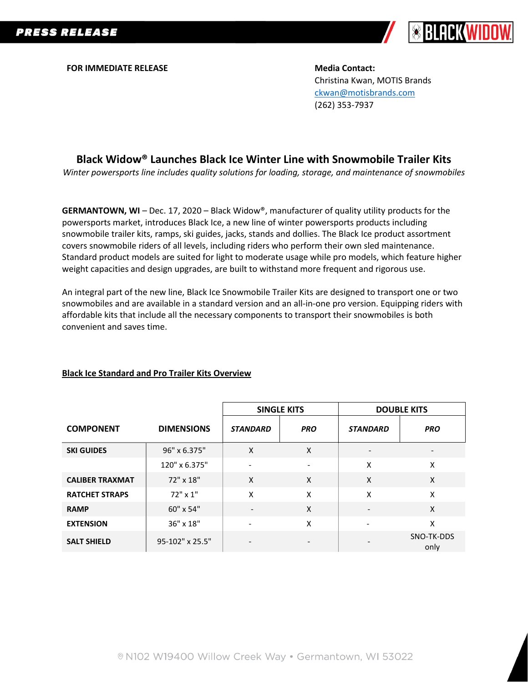

**FOR IMMEDIATE RELEASE Media Contact:** 

Christina Kwan, MOTIS Brands [ckwan@motisbrands.com](mailto:ckwan@motisbrands.com) (262) 353-7937

## **Black Widow® Launches Black Ice Winter Line with Snowmobile Trailer Kits**

*Winter powersports line includes quality solutions for loading, storage, and maintenance of snowmobiles*

**GERMANTOWN, WI** – Dec. 17, 2020 – Black Widow®, manufacturer of quality utility products for the powersports market, introduces Black Ice, a new line of winter powersports products including snowmobile trailer kits, ramps, ski guides, jacks, stands and dollies. The Black Ice product assortment covers snowmobile riders of all levels, including riders who perform their own sled maintenance. Standard product models are suited for light to moderate usage while pro models, which feature higher weight capacities and design upgrades, are built to withstand more frequent and rigorous use.

An integral part of the new line, Black Ice Snowmobile Trailer Kits are designed to transport one or two snowmobiles and are available in a standard version and an all-in-one pro version. Equipping riders with affordable kits that include all the necessary components to transport their snowmobiles is both convenient and saves time.

## **Black Ice Standard and Pro Trailer Kits Overview**

|                        |                   | <b>SINGLE KITS</b> |            | <b>DOUBLE KITS</b>       |                          |
|------------------------|-------------------|--------------------|------------|--------------------------|--------------------------|
| <b>COMPONENT</b>       | <b>DIMENSIONS</b> | <b>STANDARD</b>    | <b>PRO</b> | <b>STANDARD</b>          | <b>PRO</b>               |
| <b>SKI GUIDES</b>      | 96" x 6.375"      | X                  | X          | $\overline{\phantom{a}}$ | $\overline{\phantom{a}}$ |
|                        | 120" x 6.375"     |                    |            | X                        | X                        |
| <b>CALIBER TRAXMAT</b> | 72" x 18"         | $\mathsf{x}$       | X          | X                        | X                        |
| <b>RATCHET STRAPS</b>  | 72" x 1"          | X                  | X          | X                        | X                        |
| <b>RAMP</b>            | 60" x 54"         |                    | X          |                          | X                        |
| <b>EXTENSION</b>       | 36" x 18"         |                    | X          | $\overline{\phantom{a}}$ | Χ                        |
| <b>SALT SHIELD</b>     | 95-102" x 25.5"   |                    |            |                          | SNO-TK-DDS<br>only       |